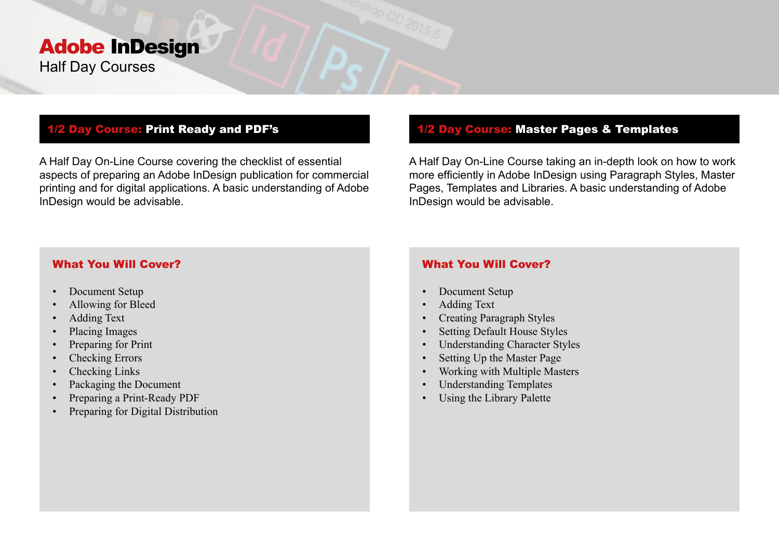# Adobe InDesign Half Day Courses

## 1/2 Day Course: Print Ready and PDF's

A Half Day On-Line Course covering the checklist of essential aspects of preparing an Adobe InDesign publication for commercial printing and for digital applications. A basic understanding of Adobe InDesign would be advisable.

# 1/2 Day Course: Master Pages & Templates

A Half Day On-Line Course taking an in-depth look on how to work more efficiently in Adobe InDesign using Paragraph Styles, Master Pages, Templates and Libraries. A basic understanding of Adobe InDesign would be advisable.

### What You Will Cover?

- Document Setup
- Allowing for Bleed
- Adding Text
- Placing Images
- Preparing for Print
- Checking Errors
- Checking Links
- Packaging the Document
- Preparing a Print-Ready PDF
- Preparing for Digital Distribution

# What You Will Cover?

- Document Setup
- Adding Text
- Creating Paragraph Styles
- Setting Default House Styles
- Understanding Character Styles
- Setting Up the Master Page
- Working with Multiple Masters
- Understanding Templates
- Using the Library Palette